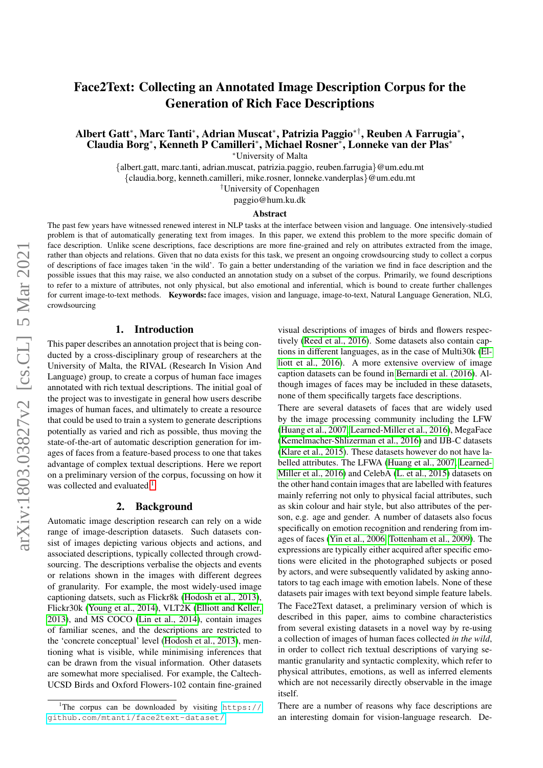# Face2Text: Collecting an Annotated Image Description Corpus for the Generation of Rich Face Descriptions

Albert Gatt<sup>∗</sup> , Marc Tanti<sup>∗</sup> , Adrian Muscat<sup>∗</sup> , Patrizia Paggio∗†, Reuben A Farrugia<sup>∗</sup> , Claudia Borg<sup>∗</sup> , Kenneth P Camilleri<sup>∗</sup> , Michael Rosner<sup>∗</sup> , Lonneke van der Plas<sup>∗</sup>

<sup>∗</sup>University of Malta

{albert.gatt, marc.tanti, adrian.muscat, patrizia.paggio, reuben.farrugia}@um.edu.mt {claudia.borg, kenneth.camilleri, mike.rosner, lonneke.vanderplas}@um.edu.mt

†University of Copenhagen

paggio@hum.ku.dk

#### Abstract

The past few years have witnessed renewed interest in NLP tasks at the interface between vision and language. One intensively-studied problem is that of automatically generating text from images. In this paper, we extend this problem to the more specific domain of face description. Unlike scene descriptions, face descriptions are more fine-grained and rely on attributes extracted from the image, rather than objects and relations. Given that no data exists for this task, we present an ongoing crowdsourcing study to collect a corpus of descriptions of face images taken 'in the wild'. To gain a better understanding of the variation we find in face description and the possible issues that this may raise, we also conducted an annotation study on a subset of the corpus. Primarily, we found descriptions to refer to a mixture of attributes, not only physical, but also emotional and inferential, which is bound to create further challenges for current image-to-text methods. Keywords: face images, vision and language, image-to-text, Natural Language Generation, NLG, crowdsourcing

#### 1. Introduction

This paper describes an annotation project that is being conducted by a cross-disciplinary group of researchers at the University of Malta, the RIVAL (Research In Vision And Language) group, to create a corpus of human face images annotated with rich textual descriptions. The initial goal of the project was to investigate in general how users describe images of human faces, and ultimately to create a resource that could be used to train a system to generate descriptions potentially as varied and rich as possible, thus moving the state-of-the-art of automatic description generation for images of faces from a feature-based process to one that takes advantage of complex textual descriptions. Here we report on a preliminary version of the corpus, focussing on how it was collected and evaluated.<sup>[1](#page-0-0)</sup>

#### 2. Background

Automatic image description research can rely on a wide range of image-description datasets. Such datasets consist of images depicting various objects and actions, and associated descriptions, typically collected through crowdsourcing. The descriptions verbalise the objects and events or relations shown in the images with different degrees of granularity. For example, the most widely-used image captioning datsets, such as Flickr8k [\(Hodosh et al., 2013\)](#page-5-0), Flickr30k [\(Young et al., 2014\)](#page-5-1), VLT2K [\(Elliott and Keller,](#page-5-2) [2013\)](#page-5-2), and MS COCO [\(Lin et al., 2014\)](#page-5-3), contain images of familiar scenes, and the descriptions are restricted to the 'concrete conceptual' level [\(Hodosh et al., 2013\)](#page-5-0), mentioning what is visible, while minimising inferences that can be drawn from the visual information. Other datasets are somewhat more specialised. For example, the Caltech-UCSD Birds and Oxford Flowers-102 contain fine-grained

visual descriptions of images of birds and flowers respectively [\(Reed et al., 2016\)](#page-5-4). Some datasets also contain captions in different languages, as in the case of Multi30k [\(El](#page-5-5)[liott et al., 2016\)](#page-5-5). A more extensive overview of image caption datasets can be found in [Bernardi et al. \(2016\)](#page-5-6). Although images of faces may be included in these datasets, none of them specifically targets face descriptions.

There are several datasets of faces that are widely used by the image processing community including the LFW [\(Huang et al., 2007,](#page-5-7) [Learned-Miller et al., 2016\)](#page-5-8), MegaFace [\(Kemelmacher-Shlizerman et al., 2016\)](#page-5-9) and IJB-C datasets [\(Klare et al., 2015\)](#page-5-10). These datasets however do not have labelled attributes. The LFWA [\(Huang et al., 2007,](#page-5-7) [Learned-](#page-5-8)[Miller et al., 2016\)](#page-5-8) and CelebA [\(L. et al., 2015\)](#page-5-11) datasets on the other hand contain images that are labelled with features mainly referring not only to physical facial attributes, such as skin colour and hair style, but also attributes of the person, e.g. age and gender. A number of datasets also focus specifically on emotion recognition and rendering from images of faces [\(Yin et al., 2006,](#page-5-12) [Tottenham et al., 2009\)](#page-5-13). The expressions are typically either acquired after specific emotions were elicited in the photographed subjects or posed by actors, and were subsequently validated by asking annotators to tag each image with emotion labels. None of these datasets pair images with text beyond simple feature labels.

The Face2Text dataset, a preliminary version of which is described in this paper, aims to combine characteristics from several existing datasets in a novel way by re-using a collection of images of human faces collected *in the wild*, in order to collect rich textual descriptions of varying semantic granularity and syntactic complexity, which refer to physical attributes, emotions, as well as inferred elements which are not necessarily directly observable in the image itself.

There are a number of reasons why face descriptions are an interesting domain for vision-language research. De-

<span id="page-0-0"></span><sup>&</sup>lt;sup>1</sup>The corpus can be downloaded by visiting  $https://$ [github.com/mtanti/face2text-dataset/](https://github.com/mtanti/face2text-dataset/).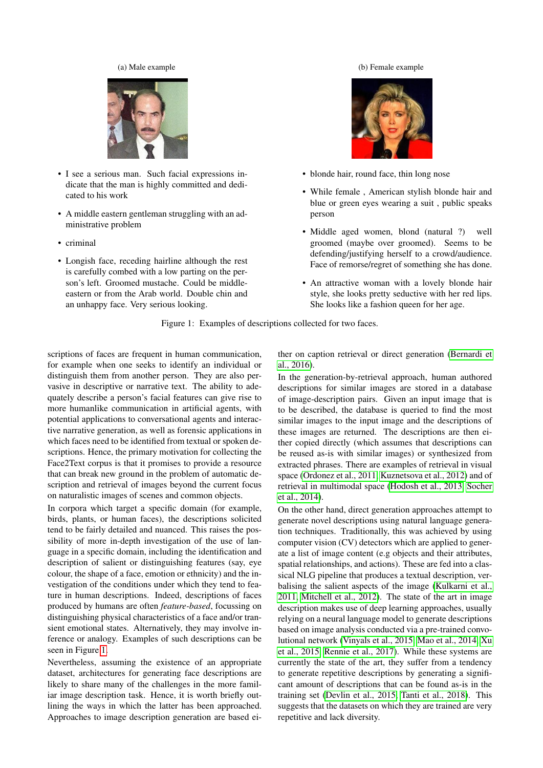#### (a) Male example

<span id="page-1-0"></span>

- I see a serious man. Such facial expressions indicate that the man is highly committed and dedicated to his work
- A middle eastern gentleman struggling with an administrative problem
- criminal
- Longish face, receding hairline although the rest is carefully combed with a low parting on the person's left. Groomed mustache. Could be middleeastern or from the Arab world. Double chin and an unhappy face. Very serious looking.

#### (b) Female example



- blonde hair, round face, thin long nose
- While female , American stylish blonde hair and blue or green eyes wearing a suit , public speaks person
- Middle aged women, blond (natural ?) well groomed (maybe over groomed). Seems to be defending/justifying herself to a crowd/audience. Face of remorse/regret of something she has done.
- An attractive woman with a lovely blonde hair style, she looks pretty seductive with her red lips. She looks like a fashion queen for her age.

Figure 1: Examples of descriptions collected for two faces.

scriptions of faces are frequent in human communication, for example when one seeks to identify an individual or distinguish them from another person. They are also pervasive in descriptive or narrative text. The ability to adequately describe a person's facial features can give rise to more humanlike communication in artificial agents, with potential applications to conversational agents and interactive narrative generation, as well as forensic applications in which faces need to be identified from textual or spoken descriptions. Hence, the primary motivation for collecting the Face2Text corpus is that it promises to provide a resource that can break new ground in the problem of automatic description and retrieval of images beyond the current focus on naturalistic images of scenes and common objects.

In corpora which target a specific domain (for example, birds, plants, or human faces), the descriptions solicited tend to be fairly detailed and nuanced. This raises the possibility of more in-depth investigation of the use of language in a specific domain, including the identification and description of salient or distinguishing features (say, eye colour, the shape of a face, emotion or ethnicity) and the investigation of the conditions under which they tend to feature in human descriptions. Indeed, descriptions of faces produced by humans are often *feature-based*, focussing on distinguishing physical characteristics of a face and/or transient emotional states. Alternatively, they may involve inference or analogy. Examples of such descriptions can be seen in Figure [1.](#page-1-0)

Nevertheless, assuming the existence of an appropriate dataset, architectures for generating face descriptions are likely to share many of the challenges in the more familiar image description task. Hence, it is worth briefly outlining the ways in which the latter has been approached. Approaches to image description generation are based either on caption retrieval or direct generation [\(Bernardi et](#page-5-6) [al., 2016\)](#page-5-6).

In the generation-by-retrieval approach, human authored descriptions for similar images are stored in a database of image-description pairs. Given an input image that is to be described, the database is queried to find the most similar images to the input image and the descriptions of these images are returned. The descriptions are then either copied directly (which assumes that descriptions can be reused as-is with similar images) or synthesized from extracted phrases. There are examples of retrieval in visual space [\(Ordonez et al., 2011,](#page-5-14) [Kuznetsova et al., 2012\)](#page-5-15) and of retrieval in multimodal space [\(Hodosh et al., 2013,](#page-5-0) [Socher](#page-5-16) [et al., 2014\)](#page-5-16).

On the other hand, direct generation approaches attempt to generate novel descriptions using natural language generation techniques. Traditionally, this was achieved by using computer vision (CV) detectors which are applied to generate a list of image content (e.g objects and their attributes, spatial relationships, and actions). These are fed into a classical NLG pipeline that produces a textual description, verbalising the salient aspects of the image [\(Kulkarni et al.,](#page-5-17) [2011,](#page-5-17) [Mitchell et al., 2012\)](#page-5-18). The state of the art in image description makes use of deep learning approaches, usually relying on a neural language model to generate descriptions based on image analysis conducted via a pre-trained convolutional network [\(Vinyals et al., 2015,](#page-5-19) [Mao et al., 2014,](#page-5-20) [Xu](#page-5-21) [et al., 2015,](#page-5-21) [Rennie et al., 2017\)](#page-5-22). While these systems are currently the state of the art, they suffer from a tendency to generate repetitive descriptions by generating a significant amount of descriptions that can be found as-is in the training set [\(Devlin et al., 2015,](#page-5-23) [Tanti et al., 2018\)](#page-5-24). This suggests that the datasets on which they are trained are very repetitive and lack diversity.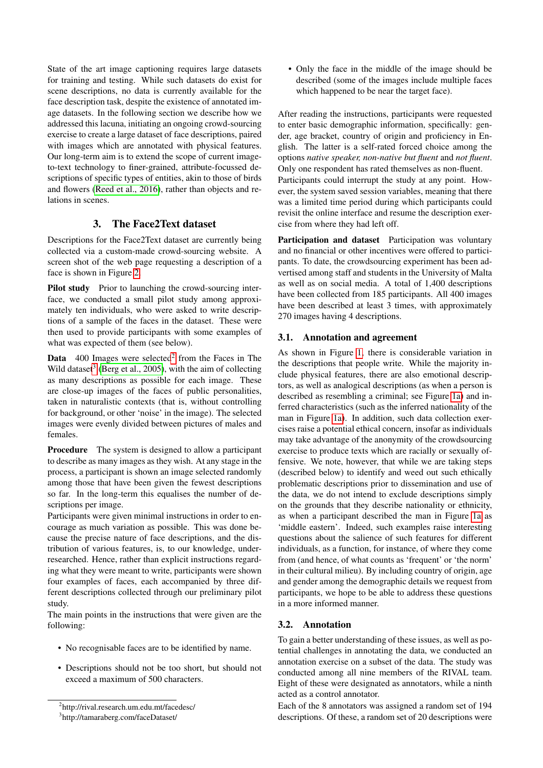State of the art image captioning requires large datasets for training and testing. While such datasets do exist for scene descriptions, no data is currently available for the face description task, despite the existence of annotated image datasets. In the following section we describe how we addressed this lacuna, initiating an ongoing crowd-sourcing exercise to create a large dataset of face descriptions, paired with images which are annotated with physical features. Our long-term aim is to extend the scope of current imageto-text technology to finer-grained, attribute-focussed descriptions of specific types of entities, akin to those of birds and flowers [\(Reed et al., 2016\)](#page-5-4), rather than objects and relations in scenes.

# 3. The Face2Text dataset

Descriptions for the Face2Text dataset are currently being collected via a custom-made crowd-sourcing website. A screen shot of the web page requesting a description of a face is shown in Figure [2.](#page-3-0)

Pilot study Prior to launching the crowd-sourcing interface, we conducted a small pilot study among approximately ten individuals, who were asked to write descriptions of a sample of the faces in the dataset. These were then used to provide participants with some examples of what was expected of them (see below).

**Data**  $400$  Images were selected<sup>[2](#page-2-0)</sup> from the Faces in The Wild dataset<sup>[3](#page-2-1)</sup> [\(Berg et al., 2005\)](#page-5-25), with the aim of collecting as many descriptions as possible for each image. These are close-up images of the faces of public personalities, taken in naturalistic contexts (that is, without controlling for background, or other 'noise' in the image). The selected images were evenly divided between pictures of males and females.

Procedure The system is designed to allow a participant to describe as many images as they wish. At any stage in the process, a participant is shown an image selected randomly among those that have been given the fewest descriptions so far. In the long-term this equalises the number of descriptions per image.

Participants were given minimal instructions in order to encourage as much variation as possible. This was done because the precise nature of face descriptions, and the distribution of various features, is, to our knowledge, underresearched. Hence, rather than explicit instructions regarding what they were meant to write, participants were shown four examples of faces, each accompanied by three different descriptions collected through our preliminary pilot study.

The main points in the instructions that were given are the following:

- No recognisable faces are to be identified by name.
- Descriptions should not be too short, but should not exceed a maximum of 500 characters.

• Only the face in the middle of the image should be described (some of the images include multiple faces which happened to be near the target face).

After reading the instructions, participants were requested to enter basic demographic information, specifically: gender, age bracket, country of origin and proficiency in English. The latter is a self-rated forced choice among the options *native speaker, non-native but fluent* and *not fluent*. Only one respondent has rated themselves as non-fluent. Participants could interrupt the study at any point. However, the system saved session variables, meaning that there was a limited time period during which participants could revisit the online interface and resume the description exercise from where they had left off.

Participation and dataset Participation was voluntary and no financial or other incentives were offered to participants. To date, the crowdsourcing experiment has been advertised among staff and students in the University of Malta as well as on social media. A total of 1,400 descriptions have been collected from 185 participants. All 400 images have been described at least 3 times, with approximately 270 images having 4 descriptions.

### 3.1. Annotation and agreement

As shown in Figure [1,](#page-1-0) there is considerable variation in the descriptions that people write. While the majority include physical features, there are also emotional descriptors, as well as analogical descriptions (as when a person is described as resembling a criminal; see Figure [1a\)](#page-1-0) and inferred characteristics (such as the inferred nationality of the man in Figure [1a\)](#page-1-0). In addition, such data collection exercises raise a potential ethical concern, insofar as individuals may take advantage of the anonymity of the crowdsourcing exercise to produce texts which are racially or sexually offensive. We note, however, that while we are taking steps (described below) to identify and weed out such ethically problematic descriptions prior to dissemination and use of the data, we do not intend to exclude descriptions simply on the grounds that they describe nationality or ethnicity, as when a participant described the man in Figure [1a](#page-1-0) as 'middle eastern'. Indeed, such examples raise interesting questions about the salience of such features for different individuals, as a function, for instance, of where they come from (and hence, of what counts as 'frequent' or 'the norm' in their cultural milieu). By including country of origin, age and gender among the demographic details we request from participants, we hope to be able to address these questions in a more informed manner.

### 3.2. Annotation

To gain a better understanding of these issues, as well as potential challenges in annotating the data, we conducted an annotation exercise on a subset of the data. The study was conducted among all nine members of the RIVAL team. Eight of these were designated as annotators, while a ninth acted as a control annotator.

Each of the 8 annotators was assigned a random set of 194 descriptions. Of these, a random set of 20 descriptions were

<span id="page-2-0"></span><sup>&</sup>lt;sup>2</sup>http://rival.research.um.edu.mt/facedesc/

<span id="page-2-1"></span><sup>3</sup> http://tamaraberg.com/faceDataset/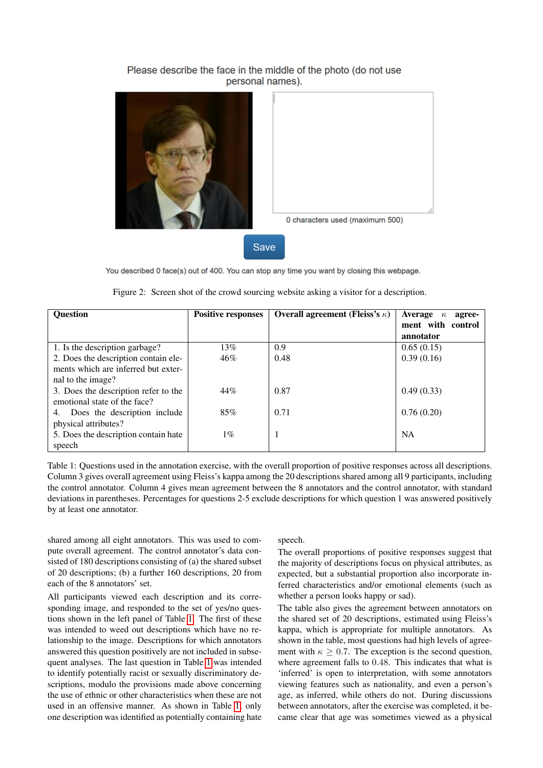### Please describe the face in the middle of the photo (do not use personal names).

<span id="page-3-0"></span>



0 characters used (maximum 500)

Save

You described 0 face(s) out of 400. You can stop any time you want by closing this webpage.

<span id="page-3-1"></span>

| <b>Ouestion</b>                      | <b>Positive responses</b> | Overall agreement (Fleiss's $\kappa$ ) | <b>Average</b><br>agree-<br>$\kappa$ |
|--------------------------------------|---------------------------|----------------------------------------|--------------------------------------|
|                                      |                           |                                        | ment with control                    |
|                                      |                           |                                        | annotator                            |
| 1. Is the description garbage?       | 13%                       | 0.9                                    | 0.65(0.15)                           |
| 2. Does the description contain ele- | 46%                       | 0.48                                   | 0.39(0.16)                           |
| ments which are inferred but exter-  |                           |                                        |                                      |
| nal to the image?                    |                           |                                        |                                      |
| 3. Does the description refer to the | 44%                       | 0.87                                   | 0.49(0.33)                           |
| emotional state of the face?         |                           |                                        |                                      |
| 4. Does the description include      | 85%                       | 0.71                                   | 0.76(0.20)                           |
| physical attributes?                 |                           |                                        |                                      |
| 5. Does the description contain hate | $1\%$                     | -1                                     | <b>NA</b>                            |
| speech                               |                           |                                        |                                      |

| Figure 2: Screen shot of the crowd sourcing website asking a visitor for a description. |  |  |  |  |
|-----------------------------------------------------------------------------------------|--|--|--|--|
|                                                                                         |  |  |  |  |

Table 1: Questions used in the annotation exercise, with the overall proportion of positive responses across all descriptions. Column 3 gives overall agreement using Fleiss's kappa among the 20 descriptions shared among all 9 participants, including the control annotator. Column 4 gives mean agreement between the 8 annotators and the control annotator, with standard deviations in parentheses. Percentages for questions 2-5 exclude descriptions for which question 1 was answered positively by at least one annotator.

shared among all eight annotators. This was used to compute overall agreement. The control annotator's data consisted of 180 descriptions consisting of (a) the shared subset of 20 descriptions; (b) a further 160 descriptions, 20 from each of the 8 annotators' set.

All participants viewed each description and its corresponding image, and responded to the set of yes/no questions shown in the left panel of Table [1.](#page-3-1) The first of these was intended to weed out descriptions which have no relationship to the image. Descriptions for which annotators answered this question positively are not included in subsequent analyses. The last question in Table [1](#page-3-1) was intended to identify potentially racist or sexually discriminatory descriptions, modulo the provisions made above concerning the use of ethnic or other characteristics when these are not used in an offensive manner. As shown in Table [1,](#page-3-1) only one description was identified as potentially containing hate

#### speech.

The overall proportions of positive responses suggest that the majority of descriptions focus on physical attributes, as expected, but a substantial proportion also incorporate inferred characteristics and/or emotional elements (such as whether a person looks happy or sad).

The table also gives the agreement between annotators on the shared set of 20 descriptions, estimated using Fleiss's kappa, which is appropriate for multiple annotators. As shown in the table, most questions had high levels of agreement with  $\kappa \geq 0.7$ . The exception is the second question, where agreement falls to 0.48. This indicates that what is 'inferred' is open to interpretation, with some annotators viewing features such as nationality, and even a person's age, as inferred, while others do not. During discussions between annotators, after the exercise was completed, it became clear that age was sometimes viewed as a physical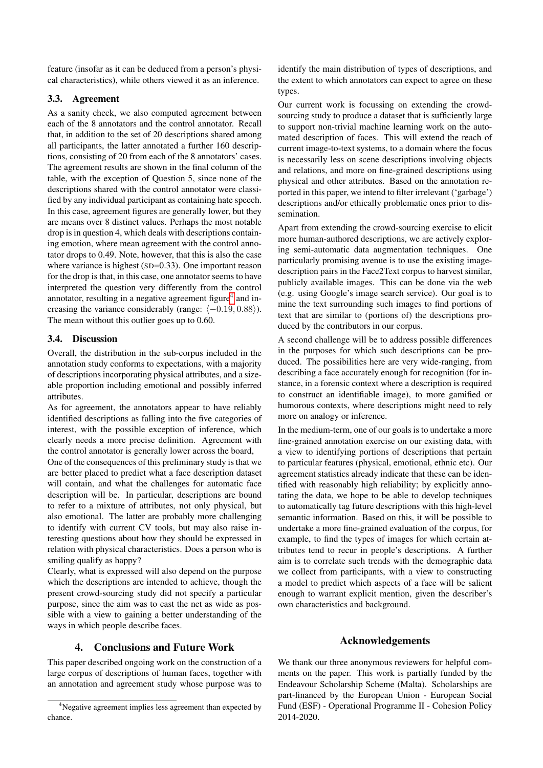feature (insofar as it can be deduced from a person's physical characteristics), while others viewed it as an inference.

### 3.3. Agreement

As a sanity check, we also computed agreement between each of the 8 annotators and the control annotator. Recall that, in addition to the set of 20 descriptions shared among all participants, the latter annotated a further 160 descriptions, consisting of 20 from each of the 8 annotators' cases. The agreement results are shown in the final column of the table, with the exception of Question 5, since none of the descriptions shared with the control annotator were classified by any individual participant as containing hate speech. In this case, agreement figures are generally lower, but they are means over 8 distinct values. Perhaps the most notable drop is in question 4, which deals with descriptions containing emotion, where mean agreement with the control annotator drops to 0.49. Note, however, that this is also the case where variance is highest (SD=0.33). One important reason for the drop is that, in this case, one annotator seems to have interpreted the question very differently from the control annotator, resulting in a negative agreement figure<sup>[4](#page-4-0)</sup> and increasing the variance considerably (range:  $\langle -0.19, 0.88 \rangle$ ). The mean without this outlier goes up to 0.60.

### 3.4. Discussion

Overall, the distribution in the sub-corpus included in the annotation study conforms to expectations, with a majority of descriptions incorporating physical attributes, and a sizeable proportion including emotional and possibly inferred attributes.

As for agreement, the annotators appear to have reliably identified descriptions as falling into the five categories of interest, with the possible exception of inference, which clearly needs a more precise definition. Agreement with the control annotator is generally lower across the board,

One of the consequences of this preliminary study is that we are better placed to predict what a face description dataset will contain, and what the challenges for automatic face description will be. In particular, descriptions are bound to refer to a mixture of attributes, not only physical, but also emotional. The latter are probably more challenging to identify with current CV tools, but may also raise interesting questions about how they should be expressed in relation with physical characteristics. Does a person who is smiling qualify as happy?

Clearly, what is expressed will also depend on the purpose which the descriptions are intended to achieve, though the present crowd-sourcing study did not specify a particular purpose, since the aim was to cast the net as wide as possible with a view to gaining a better understanding of the ways in which people describe faces.

## 4. Conclusions and Future Work

This paper described ongoing work on the construction of a large corpus of descriptions of human faces, together with an annotation and agreement study whose purpose was to identify the main distribution of types of descriptions, and the extent to which annotators can expect to agree on these types.

Our current work is focussing on extending the crowdsourcing study to produce a dataset that is sufficiently large to support non-trivial machine learning work on the automated description of faces. This will extend the reach of current image-to-text systems, to a domain where the focus is necessarily less on scene descriptions involving objects and relations, and more on fine-grained descriptions using physical and other attributes. Based on the annotation reported in this paper, we intend to filter irrelevant ('garbage') descriptions and/or ethically problematic ones prior to dissemination.

Apart from extending the crowd-sourcing exercise to elicit more human-authored descriptions, we are actively exploring semi-automatic data augmentation techniques. One particularly promising avenue is to use the existing imagedescription pairs in the Face2Text corpus to harvest similar, publicly available images. This can be done via the web (e.g. using Google's image search service). Our goal is to mine the text surrounding such images to find portions of text that are similar to (portions of) the descriptions produced by the contributors in our corpus.

A second challenge will be to address possible differences in the purposes for which such descriptions can be produced. The possibilities here are very wide-ranging, from describing a face accurately enough for recognition (for instance, in a forensic context where a description is required to construct an identifiable image), to more gamified or humorous contexts, where descriptions might need to rely more on analogy or inference.

In the medium-term, one of our goals is to undertake a more fine-grained annotation exercise on our existing data, with a view to identifying portions of descriptions that pertain to particular features (physical, emotional, ethnic etc). Our agreement statistics already indicate that these can be identified with reasonably high reliability; by explicitly annotating the data, we hope to be able to develop techniques to automatically tag future descriptions with this high-level semantic information. Based on this, it will be possible to undertake a more fine-grained evaluation of the corpus, for example, to find the types of images for which certain attributes tend to recur in people's descriptions. A further aim is to correlate such trends with the demographic data we collect from participants, with a view to constructing a model to predict which aspects of a face will be salient enough to warrant explicit mention, given the describer's own characteristics and background.

### Acknowledgements

We thank our three anonymous reviewers for helpful comments on the paper. This work is partially funded by the Endeavour Scholarship Scheme (Malta). Scholarships are part-financed by the European Union - European Social Fund (ESF) - Operational Programme II - Cohesion Policy 2014-2020.

<span id="page-4-0"></span><sup>&</sup>lt;sup>4</sup>Negative agreement implies less agreement than expected by chance.